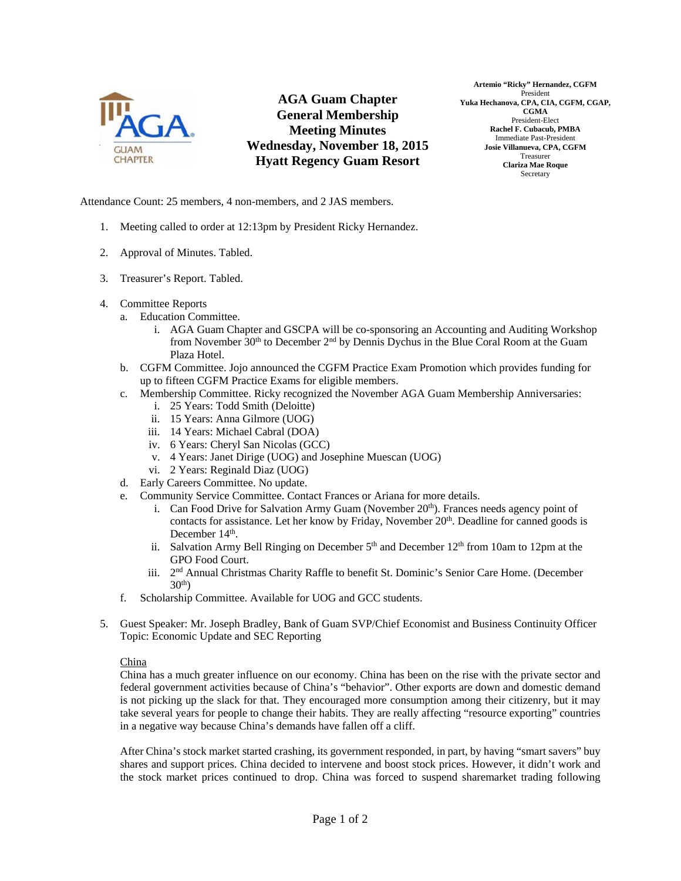

**AGA Guam Chapter General Membership Meeting Minutes Wednesday, November 18, 2015 Hyatt Regency Guam Resort** 

**Artemio "Ricky" Hernandez, CGFM**  President **Yuka Hechanova, CPA, CIA, CGFM, CGAP, CGMA**  President-Elect **Rachel F. Cubacub, PMBA**  Immediate Past-President **Josie Villanueva, CPA, CGFM**  Treasurer **Clariza Mae Roque Secretary** 

Attendance Count: 25 members, 4 non-members, and 2 JAS members.

- 1. Meeting called to order at 12:13pm by President Ricky Hernandez.
- 2. Approval of Minutes. Tabled.
- 3. Treasurer's Report. Tabled.
- 4. Committee Reports
	- a. Education Committee.
		- i. AGA Guam Chapter and GSCPA will be co-sponsoring an Accounting and Auditing Workshop from November 30<sup>th</sup> to December 2<sup>nd</sup> by Dennis Dychus in the Blue Coral Room at the Guam Plaza Hotel.
	- b. CGFM Committee. Jojo announced the CGFM Practice Exam Promotion which provides funding for up to fifteen CGFM Practice Exams for eligible members.
	- c. Membership Committee. Ricky recognized the November AGA Guam Membership Anniversaries:
		- i. 25 Years: Todd Smith (Deloitte)
		- ii. 15 Years: Anna Gilmore (UOG)
		- iii. 14 Years: Michael Cabral (DOA)
		- iv. 6 Years: Cheryl San Nicolas (GCC)
		- v. 4 Years: Janet Dirige (UOG) and Josephine Muescan (UOG)
		- vi. 2 Years: Reginald Diaz (UOG)
	- d. Early Careers Committee. No update.
	- e. Community Service Committee. Contact Frances or Ariana for more details.
		- i. Can Food Drive for Salvation Army Guam (November  $20<sup>th</sup>$ ). Frances needs agency point of contacts for assistance. Let her know by Friday, November  $20<sup>th</sup>$ . Deadline for canned goods is December 14<sup>th</sup>.
		- ii. Salvation Army Bell Ringing on December  $5<sup>th</sup>$  and December 12<sup>th</sup> from 10am to 12pm at the GPO Food Court.
		- iii. 2<sup>nd</sup> Annual Christmas Charity Raffle to benefit St. Dominic's Senior Care Home. (December  $30<sup>th</sup>$
	- f. Scholarship Committee. Available for UOG and GCC students.
- 5. Guest Speaker: Mr. Joseph Bradley, Bank of Guam SVP/Chief Economist and Business Continuity Officer Topic: Economic Update and SEC Reporting

# China

China has a much greater influence on our economy. China has been on the rise with the private sector and federal government activities because of China's "behavior". Other exports are down and domestic demand is not picking up the slack for that. They encouraged more consumption among their citizenry, but it may take several years for people to change their habits. They are really affecting "resource exporting" countries in a negative way because China's demands have fallen off a cliff.

After China's stock market started crashing, its government responded, in part, by having "smart savers" buy shares and support prices. China decided to intervene and boost stock prices. However, it didn't work and the stock market prices continued to drop. China was forced to suspend sharemarket trading following